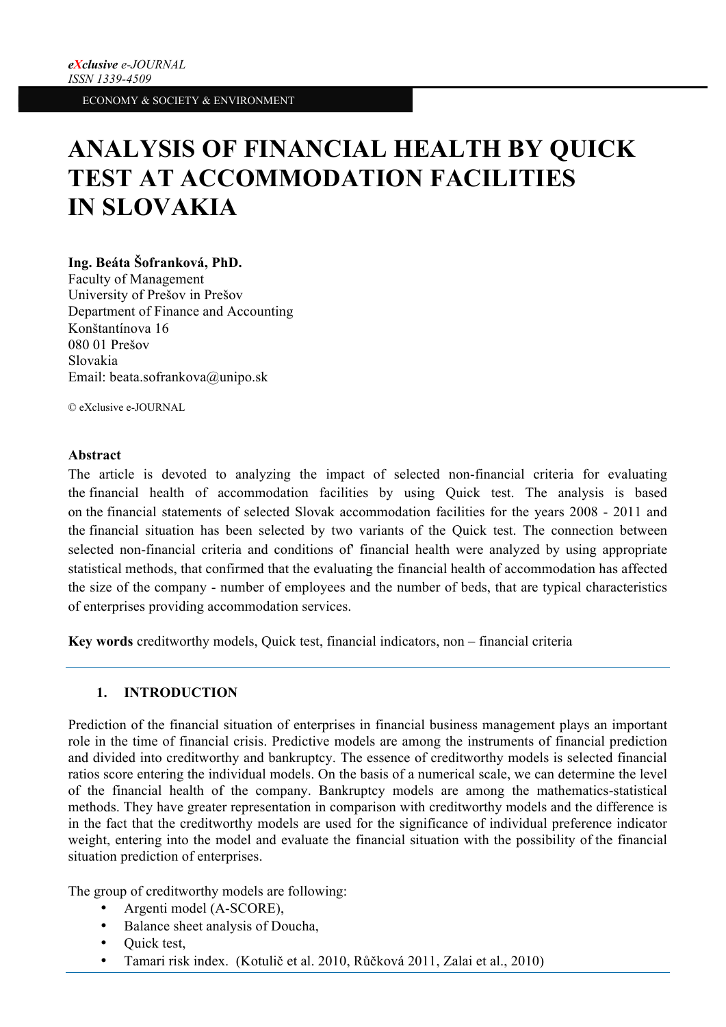# **ANALYSIS OF FINANCIAL HEALTH BY QUICK TEST AT ACCOMMODATION FACILITIES IN SLOVAKIA**

# **Ing. Beáta Šofranková, PhD.**

Faculty of Management University of Prešov in Prešov Department of Finance and Accounting Konštantínova 16 080 01 Prešov Slovakia Email: beata.sofrankova@unipo.sk

© eXclusive e-JOURNAL

## **Abstract**

The article is devoted to analyzing the impact of selected non-financial criteria for evaluating the financial health of accommodation facilities by using Quick test. The analysis is based on the financial statements of selected Slovak accommodation facilities for the years 2008 - 2011 and the financial situation has been selected by two variants of the Quick test. The connection between selected non-financial criteria and conditions of' financial health were analyzed by using appropriate statistical methods, that confirmed that the evaluating the financial health of accommodation has affected the size of the company - number of employees and the number of beds, that are typical characteristics of enterprises providing accommodation services.

**Key words** creditworthy models, Quick test, financial indicators, non – financial criteria

# **1. INTRODUCTION**

Prediction of the financial situation of enterprises in financial business management plays an important role in the time of financial crisis. Predictive models are among the instruments of financial prediction and divided into creditworthy and bankruptcy. The essence of creditworthy models is selected financial ratios score entering the individual models. On the basis of a numerical scale, we can determine the level of the financial health of the company. Bankruptcy models are among the mathematics-statistical methods. They have greater representation in comparison with creditworthy models and the difference is in the fact that the creditworthy models are used for the significance of individual preference indicator weight, entering into the model and evaluate the financial situation with the possibility of the financial situation prediction of enterprises.

The group of creditworthy models are following:

- Argenti model (A-SCORE),
- Balance sheet analysis of Doucha,
- Quick test,
- Tamari risk index. (Kotulič et al. 2010, Růčková 2011, Zalai et al., 2010)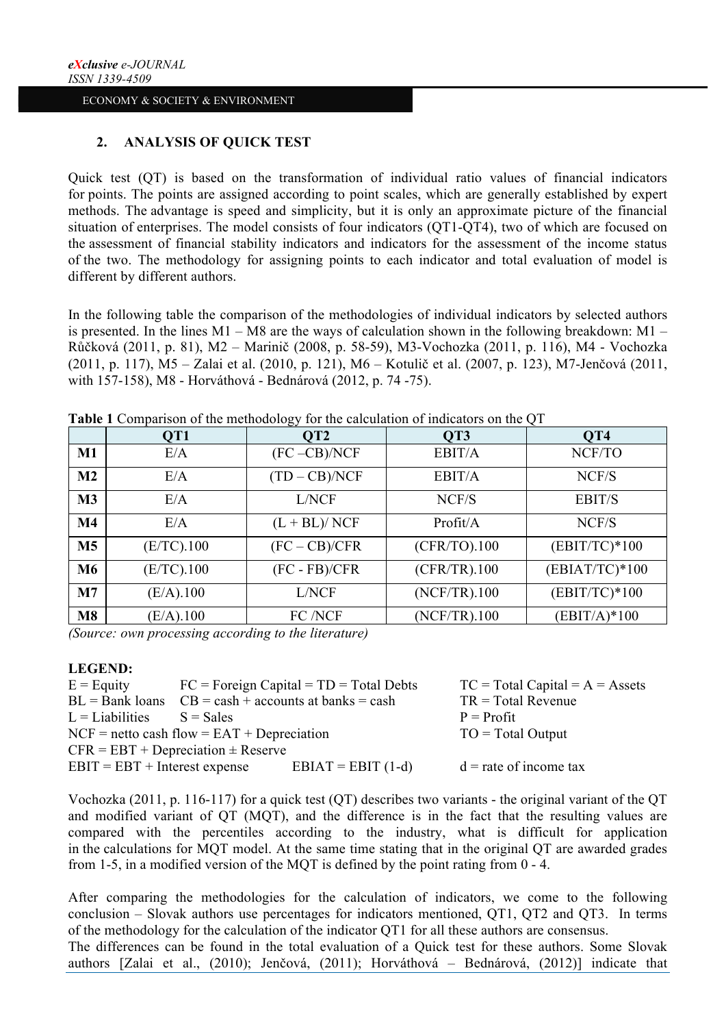# **2. ANALYSIS OF QUICK TEST**

Quick test (QT) is based on the transformation of individual ratio values of financial indicators for points. The points are assigned according to point scales, which are generally established by expert methods. The advantage is speed and simplicity, but it is only an approximate picture of the financial situation of enterprises. The model consists of four indicators (QT1-QT4), two of which are focused on the assessment of financial stability indicators and indicators for the assessment of the income status of the two. The methodology for assigning points to each indicator and total evaluation of model is different by different authors.

In the following table the comparison of the methodologies of individual indicators by selected authors is presented. In the lines  $M1 - MS$  are the ways of calculation shown in the following breakdown:  $M1 -$ Růčková (2011, p. 81), M2 – Marinič (2008, p. 58-59), M3-Vochozka (2011, p. 116), M4 - Vochozka (2011, p. 117), M5 – Zalai et al. (2010, p. 121), M6 – Kotulič et al. (2007, p. 123), M7-Jenčová (2011, with 157-158), M8 - Horváthová - Bednárová (2012, p. 74 -75).

|                | QT1          | OT <sub>2</sub> | OT3             | OT <sub>4</sub>  |
|----------------|--------------|-----------------|-----------------|------------------|
| M1             | E/A          | $(FC - CB)/NCF$ | EBIT/A          | NCF/TO           |
| M <sub>2</sub> | E/A          | $(TD - CB)/NCF$ | EBIT/A          | NCF/S            |
| M <sub>3</sub> | E/A          | L/NCF           | NCF/S           | EBIT/S           |
| M <sub>4</sub> | E/A          | $(L + BL)/NCF$  | Profit/A        | NCF/S            |
| M <sub>5</sub> | (E/TC).100   | $(FC - CB)/CFR$ | (CFR/TO).100    | $(EBIT/TC)*100$  |
| M <sub>6</sub> | (E/TC).100   | $(FC - FB)/CFR$ | (CFR/TR).100    | $(EBIAT/TC)*100$ |
| M <sub>7</sub> | (E/A).100    | L/NCF           | (NCF/TR).100    | $(EBIT/TC)*100$  |
| M8             | $(E/A)$ .100 | FC /NCF         | $(NCF/TR)$ .100 | (EBIT/A)*100     |

**Table 1** Comparison of the methodology for the calculation of indicators on the QT

*(Source: own processing according to the literature)*

#### **LEGEND:**

| $E =$ Equity                           |                                                          | $FC = Foreign Capital = TD = Total Debts$ | $TC = Total Capital = A = Assets$ |  |  |
|----------------------------------------|----------------------------------------------------------|-------------------------------------------|-----------------------------------|--|--|
|                                        | $BL = Bank$ loans $CB = cash + accounts$ at banks = cash |                                           | $TR = Total Revenue$              |  |  |
| $L =$ Liabilities                      | $S = Sales$                                              |                                           | $P = Profit$                      |  |  |
|                                        | $NCF$ = netto cash flow = EAT + Depreciation             |                                           | $TO = Total Output$               |  |  |
| $CFR = EBT + Depreciation \pm Reserve$ |                                                          |                                           |                                   |  |  |
| $EBIT = EBT + Interest$ expense        |                                                          | $EBIAT = EBIT(1-d)$                       | $d =$ rate of income tax          |  |  |

Vochozka (2011, p. 116-117) for a quick test (QT) describes two variants - the original variant of the QT and modified variant of QT (MQT), and the difference is in the fact that the resulting values are compared with the percentiles according to the industry, what is difficult for application in the calculations for MQT model. At the same time stating that in the original QT are awarded grades from 1-5, in a modified version of the MQT is defined by the point rating from 0 - 4.

After comparing the methodologies for the calculation of indicators, we come to the following conclusion – Slovak authors use percentages for indicators mentioned, QT1, QT2 and QT3. In terms of the methodology for the calculation of the indicator QT1 for all these authors are consensus.

The differences can be found in the total evaluation of a Quick test for these authors. Some Slovak authors [Zalai et al., (2010); Jenčová, (2011); Horváthová – Bednárová, (2012)] indicate that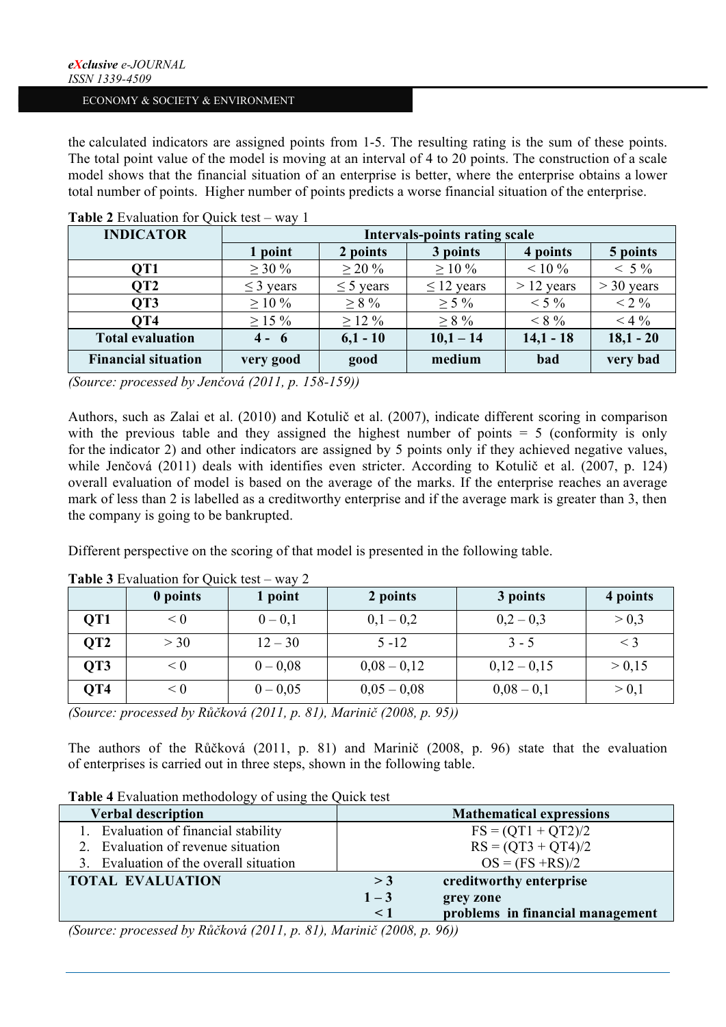the calculated indicators are assigned points from 1-5. The resulting rating is the sum of these points. The total point value of the model is moving at an interval of 4 to 20 points. The construction of a scale model shows that the financial situation of an enterprise is better, where the enterprise obtains a lower total number of points. Higher number of points predicts a worse financial situation of the enterprise.

| <b>INDICATOR</b>           | Intervals-points rating scale |                |                 |              |              |  |
|----------------------------|-------------------------------|----------------|-----------------|--------------|--------------|--|
|                            | 1 point                       | 2 points       | 3 points        | 4 points     | 5 points     |  |
| OT1                        | $\geq 30 \%$                  | $>$ 20 %       | $>10\%$         | $< 10\%$     | $< 5\%$      |  |
| OT <sub>2</sub>            | $\leq$ 3 years                | $\leq$ 5 years | $\leq$ 12 years | $> 12$ years | $>$ 30 years |  |
| OT3                        | $\geq 10\%$                   | $\geq 8\%$     | $\geq$ 5 %      | $< 5\%$      | $< 2\%$      |  |
| OT <sub>4</sub>            | $\geq$ 15 %                   | $>12\%$        | $> 8\%$         | $< 8\%$      | $<$ 4 $\%$   |  |
| <b>Total evaluation</b>    | $4 - 6$                       | $6,1 - 10$     | $10,1 - 14$     | $14,1 - 18$  | $18,1 - 20$  |  |
| <b>Financial situation</b> | very good                     | good           | medium          | bad          | very bad     |  |

## **Table 2** Evaluation for Quick test – way 1

*(Source: processed by Jenčová (2011, p. 158-159))*

Authors, such as Zalai et al. (2010) and Kotulič et al. (2007), indicate different scoring in comparison with the previous table and they assigned the highest number of points  $= 5$  (conformity is only for the indicator 2) and other indicators are assigned by 5 points only if they achieved negative values, while Jenčová (2011) deals with identifies even stricter. According to Kotulič et al. (2007, p. 124) overall evaluation of model is based on the average of the marks. If the enterprise reaches an average mark of less than 2 is labelled as a creditworthy enterprise and if the average mark is greater than 3, then the company is going to be bankrupted.

Different perspective on the scoring of that model is presented in the following table.

|                 | 0 points | 1 point    | 2 points      | 3 points     | 4 points |
|-----------------|----------|------------|---------------|--------------|----------|
| OT <sub>1</sub> | < 0      | $0 - 0.1$  | $0.1 - 0.2$   | $0.2 - 0.3$  | > 0.3    |
| OT2             | $>$ 30   | $12 - 30$  | $5 - 12$      | $3 - 5$      |          |
| OT3             | < 0      | $0 - 0.08$ | $0,08 - 0,12$ | $0,12-0,15$  | > 0.15   |
| OT4             | < 0      | $0 - 0.05$ | $0,05-0,08$   | $0.08 - 0.1$ | > 0.1    |

**Table 3** Evaluation for Quick test – way 2

*(Source: processed by Růčková (2011, p. 81), Marinič (2008, p. 95))*

The authors of the Růčková (2011, p. 81) and Marinič (2008, p. 96) state that the evaluation of enterprises is carried out in three steps, shown in the following table.

# **Table 4** Evaluation methodology of using the Quick test

| Verbal description                     |          | <b>Mathematical expressions</b>  |
|----------------------------------------|----------|----------------------------------|
| Evaluation of financial stability      |          | $FS = (QT1 + QT2)/2$             |
| Evaluation of revenue situation        |          | $RS = (QT3 + QT4)/2$             |
| 3. Evaluation of the overall situation |          | $OS = (FS + RS)/2$               |
| <b>TOTAL EVALUATION</b>                | $>$ 3    | creditworthy enterprise          |
|                                        | $1 - 3$  | grey zone                        |
|                                        | $\leq$ 1 | problems in financial management |

*(Source: processed by Růčková (2011, p. 81), Marinič (2008, p. 96))*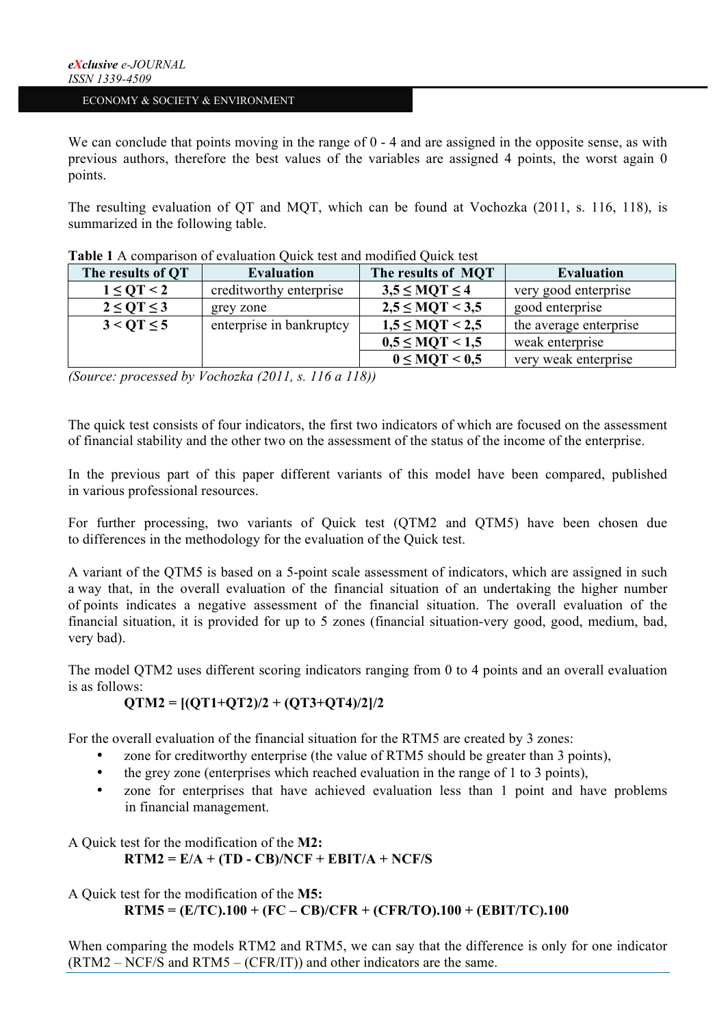We can conclude that points moving in the range of 0 - 4 and are assigned in the opposite sense, as with previous authors, therefore the best values of the variables are assigned 4 points, the worst again 0 points.

The resulting evaluation of QT and MQT, which can be found at Vochozka (2011, s. 116, 118), is summarized in the following table.

| The results of OT   | <b>Evaluation</b>        | The results of MOT      | Evaluation             |
|---------------------|--------------------------|-------------------------|------------------------|
| $1 \leq$ OT < 2     | creditworthy enterprise  | $3.5 \leq MOT \leq 4$   | very good enterprise   |
| $2 \leq O T \leq 3$ | grey zone                | $2.5 \leq MOT < 3.5$    | good enterprise        |
| $3 < O T \le 5$     | enterprise in bankruptcy | $1.5 \leq MOT < 2.5$    | the average enterprise |
|                     |                          | $0.5 \leq MOT \leq 1.5$ | weak enterprise        |
|                     |                          | $0 \leq MOT < 0.5$      | very weak enterprise   |

|  | <b>Table 1</b> A comparison of evaluation Quick test and modified Quick test |
|--|------------------------------------------------------------------------------|
|--|------------------------------------------------------------------------------|

*(Source: processed by Vochozka (2011, s. 116 a 118))*

The quick test consists of four indicators, the first two indicators of which are focused on the assessment of financial stability and the other two on the assessment of the status of the income of the enterprise.

In the previous part of this paper different variants of this model have been compared, published in various professional resources.

For further processing, two variants of Quick test (QTM2 and QTM5) have been chosen due to differences in the methodology for the evaluation of the Quick test.

A variant of the QTM5 is based on a 5-point scale assessment of indicators, which are assigned in such a way that, in the overall evaluation of the financial situation of an undertaking the higher number of points indicates a negative assessment of the financial situation. The overall evaluation of the financial situation, it is provided for up to 5 zones (financial situation-very good, good, medium, bad, very bad).

The model QTM2 uses different scoring indicators ranging from 0 to 4 points and an overall evaluation is as follows:

# **QTM2 = [(QT1+QT2)/2 + (QT3+QT4)/2]/2**

For the overall evaluation of the financial situation for the RTM5 are created by 3 zones:

- zone for creditworthy enterprise (the value of RTM5 should be greater than 3 points),
- the grey zone (enterprises which reached evaluation in the range of 1 to 3 points).
- zone for enterprises that have achieved evaluation less than 1 point and have problems in financial management.

#### A Quick test for the modification of the **M2:**  $RTM2 = E/A + (TD - CB)/NCF + EBIT/A + NCF/S$

A Quick test for the modification of the **M5: RTM5 = (E/TC).100 + (FC – CB)/CFR + (CFR/TO).100 + (EBIT/TC).100**

When comparing the models RTM2 and RTM5, we can say that the difference is only for one indicator (RTM2 – NCF/S and RTM5 – (CFR/IT)) and other indicators are the same.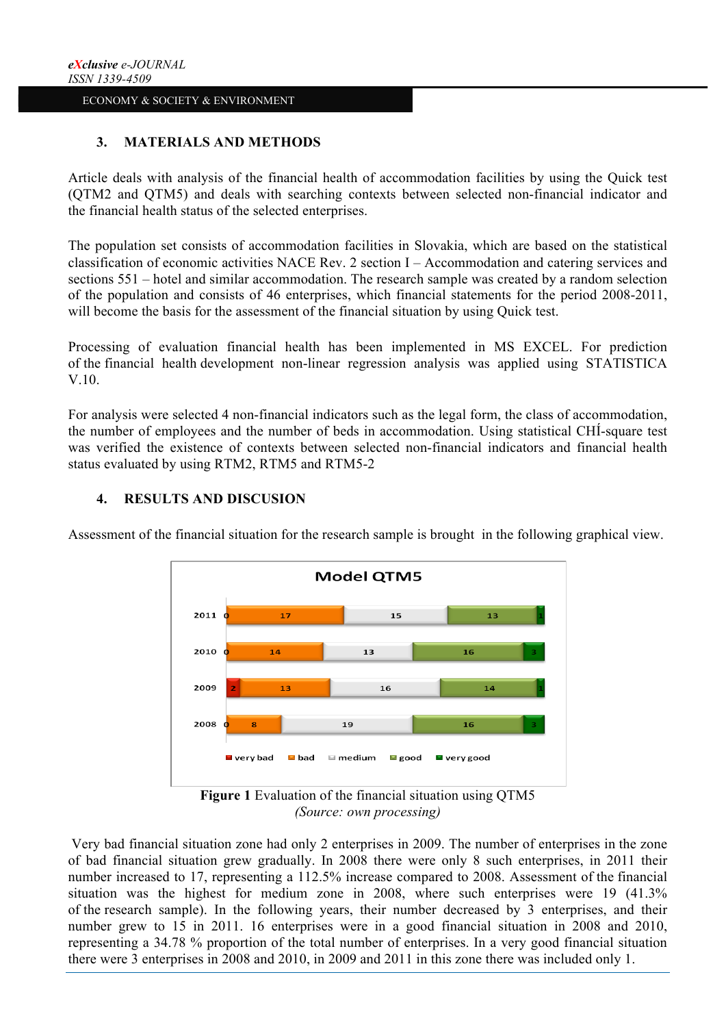# **3. MATERIALS AND METHODS**

Article deals with analysis of the financial health of accommodation facilities by using the Quick test (QTM2 and QTM5) and deals with searching contexts between selected non-financial indicator and the financial health status of the selected enterprises.

The population set consists of accommodation facilities in Slovakia, which are based on the statistical classification of economic activities NACE Rev. 2 section I – Accommodation and catering services and sections 551 – hotel and similar accommodation. The research sample was created by a random selection of the population and consists of 46 enterprises, which financial statements for the period 2008-2011, will become the basis for the assessment of the financial situation by using Ouick test.

Processing of evaluation financial health has been implemented in MS EXCEL. For prediction of the financial health development non-linear regression analysis was applied using STATISTICA V.10.

For analysis were selected 4 non-financial indicators such as the legal form, the class of accommodation, the number of employees and the number of beds in accommodation. Using statistical CHÍ-square test was verified the existence of contexts between selected non-financial indicators and financial health status evaluated by using RTM2, RTM5 and RTM5-2



## **4. RESULTS AND DISCUSION**

Assessment of the financial situation for the research sample is brought in the following graphical view.

**Figure 1** Evaluation of the financial situation using QTM5 *(Source: own processing)*

Very bad financial situation zone had only 2 enterprises in 2009. The number of enterprises in the zone of bad financial situation grew gradually. In 2008 there were only 8 such enterprises, in 2011 their number increased to 17, representing a 112.5% increase compared to 2008. Assessment of the financial situation was the highest for medium zone in 2008, where such enterprises were 19 (41.3% of the research sample). In the following years, their number decreased by 3 enterprises, and their number grew to 15 in 2011. 16 enterprises were in a good financial situation in 2008 and 2010, representing a 34.78 % proportion of the total number of enterprises. In a very good financial situation there were 3 enterprises in 2008 and 2010, in 2009 and 2011 in this zone there was included only 1.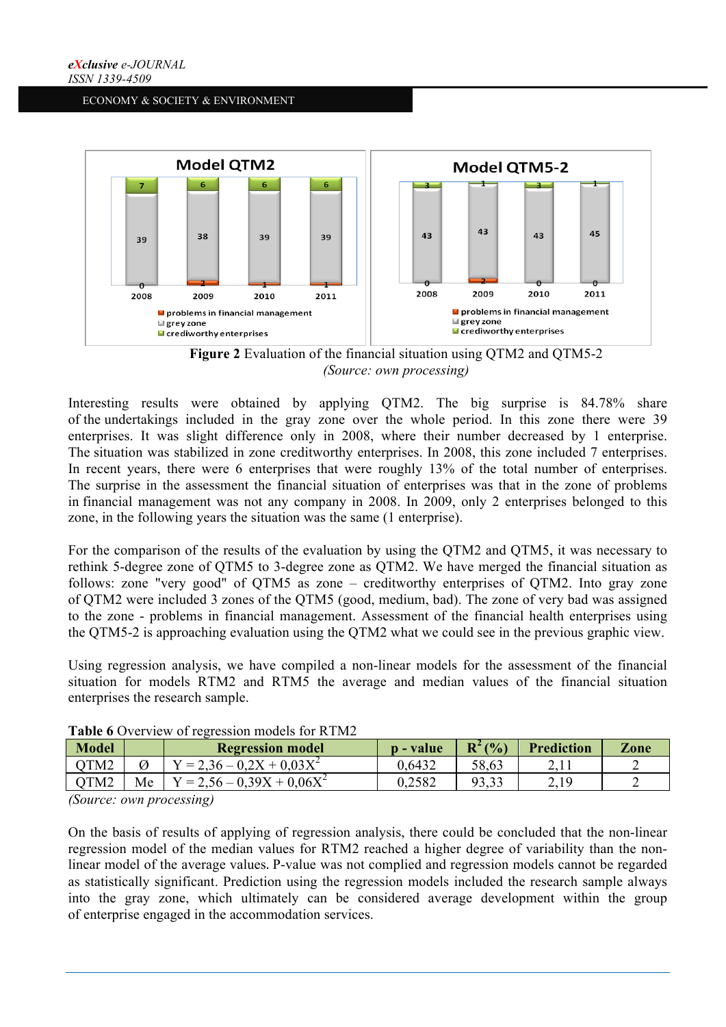



Interesting results were obtained by applying QTM2. The big surprise is 84.78% share of the undertakings included in the gray zone over the whole period. In this zone there were 39 enterprises. It was slight difference only in 2008, where their number decreased by 1 enterprise. The situation was stabilized in zone creditworthy enterprises. In 2008, this zone included 7 enterprises. In recent years, there were 6 enterprises that were roughly 13% of the total number of enterprises. The surprise in the assessment the financial situation of enterprises was that in the zone of problems in financial management was not any company in 2008. In 2009, only 2 enterprises belonged to this zone, in the following years the situation was the same (1 enterprise).

For the comparison of the results of the evaluation by using the QTM2 and QTM5, it was necessary to rethink 5-degree zone of QTM5 to 3-degree zone as QTM2. We have merged the financial situation as follows: zone "very good" of QTM5 as zone – creditworthy enterprises of QTM2. Into gray zone of QTM2 were included 3 zones of the QTM5 (good, medium, bad). The zone of very bad was assigned to the zone - problems in financial management. Assessment of the financial health enterprises using the QTM5-2 is approaching evaluation using the QTM2 what we could see in the previous graphic view.

Using regression analysis, we have compiled a non-linear models for the assessment of the financial situation for models RTM2 and RTM5 the average and median values of the financial situation enterprises the research sample.

| $Y = 2.36 - 0.2X + 0.03X^2$<br>OTM <sub>2</sub><br>0.6432<br>58.63<br>219 | Model            |    | <b>Regression model</b>      | <b>p</b> - value | $R^2(%)$ | <b>Prediction</b> | Zone |
|---------------------------------------------------------------------------|------------------|----|------------------------------|------------------|----------|-------------------|------|
|                                                                           |                  |    |                              |                  |          |                   |      |
|                                                                           | OTM <sub>2</sub> | Me | $Y = 2.56 - 0.39X + 0.06X^2$ | 0.2582           | 93.33    | 4.13              |      |

Table 6 Overview of regression models for RTM2

*(Source: own processing)*

On the basis of results of applying of regression analysis, there could be concluded that the non-linear regression model of the median values for RTM2 reached a higher degree of variability than the nonlinear model of the average values. P-value was not complied and regression models cannot be regarded as statistically significant. Prediction using the regression models included the research sample always into the gray zone, which ultimately can be considered average development within the group of enterprise engaged in the accommodation services.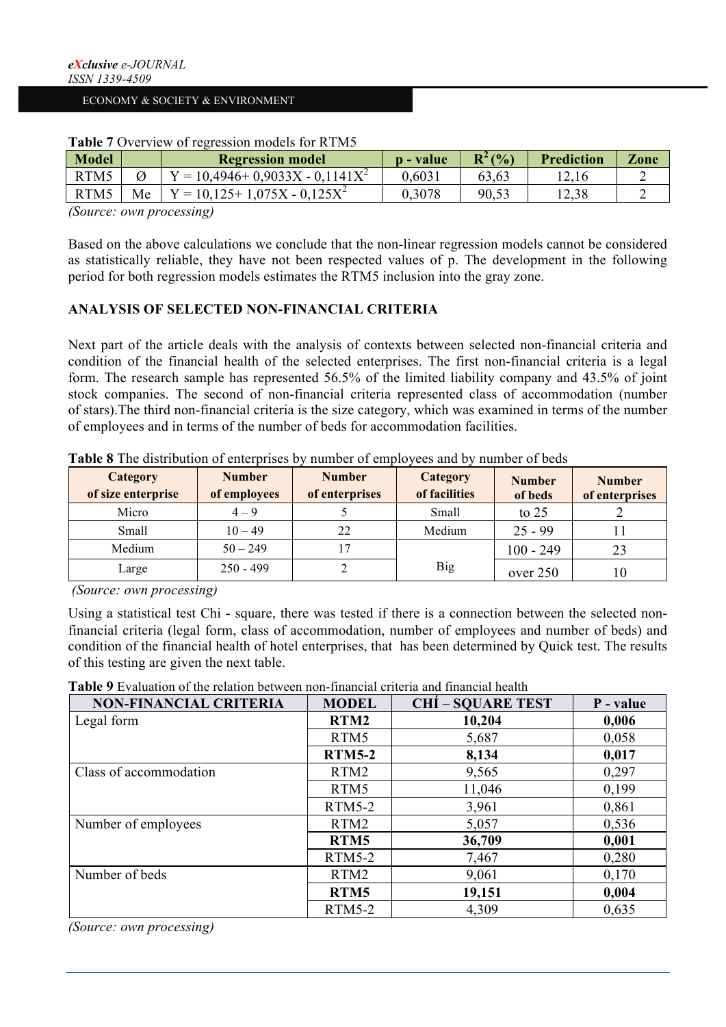| Model |    | <b>Regression model</b>           | <b>p</b> - value | $R^2($ %) | <b>Prediction</b> | Zone |
|-------|----|-----------------------------------|------------------|-----------|-------------------|------|
| RTM5  |    | $Y = 10,4946+0,9033X - 0,1141X^2$ | 0.6031           | 63.63     |                   |      |
| RTM5  | Мe | $Y = 10.125 + 1.075X - 0.125X^2$  | 0.3078           | 90.53     | 12.38             |      |

## **Table 7** Overview of regression models for RTM5

*(Source: own processing)*

Based on the above calculations we conclude that the non-linear regression models cannot be considered as statistically reliable, they have not been respected values of p. The development in the following period for both regression models estimates the RTM5 inclusion into the gray zone.

## **ANALYSIS OF SELECTED NON-FINANCIAL CRITERIA**

Next part of the article deals with the analysis of contexts between selected non-financial criteria and condition of the financial health of the selected enterprises. The first non-financial criteria is a legal form. The research sample has represented 56.5% of the limited liability company and 43.5% of joint stock companies. The second of non-financial criteria represented class of accommodation (number of stars).The third non-financial criteria is the size category, which was examined in terms of the number of employees and in terms of the number of beds for accommodation facilities.

| Category<br>of size enterprise | <b>Number</b><br>of employees | <b>Number</b><br>of enterprises | Category<br>of facilities | <b>Number</b><br>of beds | <b>Number</b><br>of enterprises |
|--------------------------------|-------------------------------|---------------------------------|---------------------------|--------------------------|---------------------------------|
| Micro                          | $4 - 9$                       |                                 | Small                     | to $25$                  |                                 |
| Small                          | $10 - 49$                     | 22                              | Medium                    | $25 - 99$                |                                 |
| Medium                         | $50 - 249$                    |                                 |                           | $100 - 249$              | 23                              |
| Large                          | $250 - 499$                   |                                 | <b>Big</b>                | over 250                 | 10                              |

**Table 8** The distribution of enterprises by number of employees and by number of beds

*(Source: own processing)*

Using a statistical test Chi - square, there was tested if there is a connection between the selected nonfinancial criteria (legal form, class of accommodation, number of employees and number of beds) and condition of the financial health of hotel enterprises, that has been determined by Quick test. The results of this testing are given the next table.

| <b>Table 9</b> Evaluation of the relation between non-financial criteria and financial health |  |
|-----------------------------------------------------------------------------------------------|--|
|-----------------------------------------------------------------------------------------------|--|

| <b>NON-FINANCIAL CRITERIA</b> | <b>MODEL</b>     | <b>CHÍ – SQUARE TEST</b> | P - value |
|-------------------------------|------------------|--------------------------|-----------|
| Legal form                    | RTM2             | 10,204                   | 0,006     |
|                               | RTM5             | 5,687                    | 0.058     |
|                               | <b>RTM5-2</b>    | 8,134                    | 0,017     |
| Class of accommodation        | RTM2             | 9,565                    | 0,297     |
|                               | RTM5             | 11,046                   | 0,199     |
|                               | $RTM5-2$         | 3,961                    | 0,861     |
| Number of employees           | RTM <sub>2</sub> | 5,057                    | 0.536     |
|                               | RTM5             | 36,709                   | 0,001     |
|                               | $RTM5-2$         | 7,467                    | 0,280     |
| Number of beds                | RTM2             | 9,061                    | 0,170     |
|                               | RTM5             | 19,151                   | 0,004     |
|                               | $RTM5-2$         | 4,309                    | 0.635     |

*(Source: own processing)*